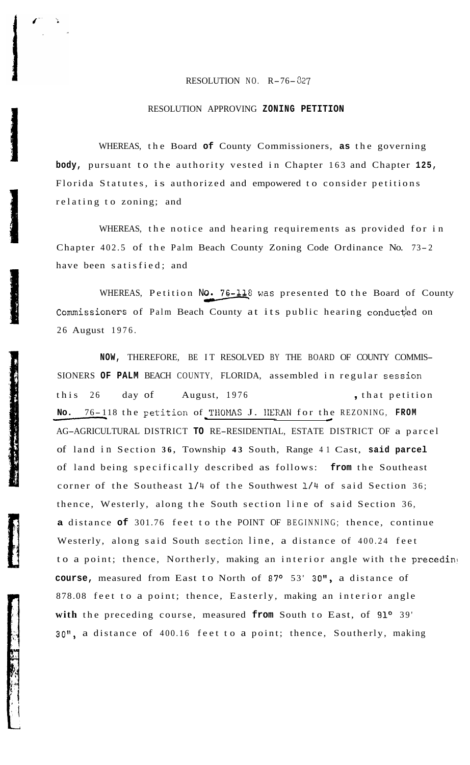## RESOLUTION NO. R-76- 327

## RESOLUTION APPROVING **ZONING PETITION**

WHEREAS, the Board **of** County Commissioners, **as** the governing **body,** pursuant to the authority vested in Chapter 163 and Chapter **125,**  Florida Statutes, is authorized and empowered to consider petitions relating to zoning; and

WHEREAS, the notice and hearing requirements as provided for in Chapter 402.5 of the Palm Beach County Zoning Code Ordinance No. 73- <sup>2</sup> have been satisfied; and

WHEREAS, Petition No. 76-118 was presented to the Board of County Commissioners of Palm Beach County at its public hearing conducted on 26 August 1976.

**NOW,** THEREFORE, BE IT RESOLVED BY THE BOARD OF COUNTY COMMIS-SIONERS **OF PALM** BEACH COUNTY, FLORIDA, assembled in regular session this 26 day of August, 1976 , that petition **NO. 76-118 the petition of THOMAS J. IEFAN for the RezoNING, FROM** for the petition of THIP RESOLVED BY THE BOARD OF COUNTY COMM SIONERS OF PALM BEACH COUNTY, FLORIDA, assembled in regular session this 26 day of August, 1 AG-AGRICULTURAL DISTRICT **TO** RE-RESIDENTIAL, ESTATE DISTRICT OF a parcel No. 76-118 the petition of THOMAS J. HERAN for the REZONING, FROM of land in Section **36,** Township **43** South, Range 41 Cast, **said parcel**  of land being specifically described as follows: **from** the Southeast corner of the Southeast **1/4** of the Southwest **1/4** of said Section 36; thence, Westerly, along the South section line of said Section 36, **a** distance **of** 301.76 feet to the POINT OF BEGINNING; thence, continue Westerly, along said South section line, a distance of 400.24 feet to a point; thence, Northerly, making an interior angle with the preceding **course,** measured from East to North of 87° 53' 30", a distance of 878.08 feet to a point; thence, Easterly, making an interior angle with the preceding course, measured from South to East, of 91<sup>o</sup> 39' **30",** a distance of 400.16 feet to a point; thence, Southerly, making